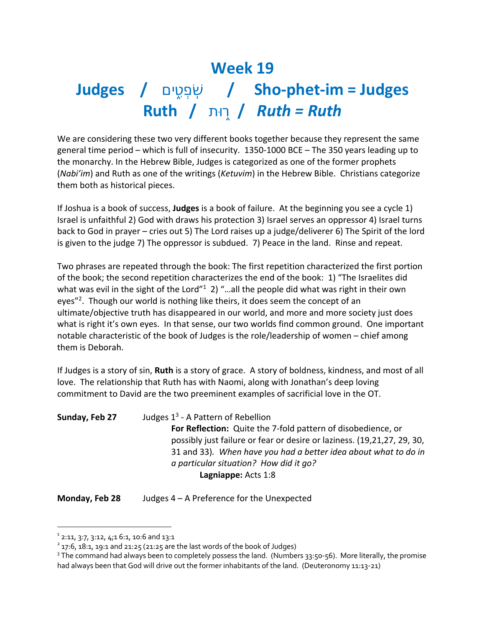## **Week 19 Judges /** שֹׁ ֽפְטִ֑םי **/ Sho-phet-im = Judges Ruth /** ר֑תוּ **/** *Ruth = Ruth*

We are considering these two very different books together because they represent the same general time period – which is full of insecurity. 1350-1000 BCE – The 350 years leading up to the monarchy. In the Hebrew Bible, Judges is categorized as one of the former prophets (*Nabi'im*) and Ruth as one of the writings (*Ketuvim*) in the Hebrew Bible. Christians categorize them both as historical pieces.

If Joshua is a book of success, **Judges** is a book of failure. At the beginning you see a cycle 1) Israel is unfaithful 2) God with draws his protection 3) Israel serves an oppressor 4) Israel turns back to God in prayer – cries out 5) The Lord raises up a judge/deliverer 6) The Spirit of the lord is given to the judge 7) The oppressor is subdued. 7) Peace in the land. Rinse and repeat.

Two phrases are repeated through the book: The first repetition characterized the first portion of the book; the second repetition characterizes the end of the book: 1) "The Israelites did what was evil in the sight of the Lord<sup> $n_1$ </sup> 2) "...all the people did what was right in their own eyes"<sup>2</sup>. Though our world is nothing like theirs, it does seem the concept of an ultimate/objective truth has disappeared in our world, and more and more society just does what is right it's own eyes. In that sense, our two worlds find common ground. One important notable characteristic of the book of Judges is the role/leadership of women – chief among them is Deborah.

If Judges is a story of sin, **Ruth** is a story of grace. A story of boldness, kindness, and most of all love. The relationship that Ruth has with Naomi, along with Jonathan's deep loving commitment to David are the two preeminent examples of sacrificial love in the OT.

| Sunday, Feb 27 | Judges $1^3$ - A Pattern of Rebellion                                   |
|----------------|-------------------------------------------------------------------------|
|                | <b>For Reflection:</b> Quite the 7-fold pattern of disobedience, or     |
|                | possibly just failure or fear or desire or laziness. (19,21,27, 29, 30, |
|                | 31 and 33). When have you had a better idea about what to do in         |
|                | a particular situation? How did it go?                                  |
|                | Lagniappe: Acts 1:8                                                     |

**Monday, Feb 28** Judges 4 – A Preference for the Unexpected

 $1$  2:11, 3:7, 3:12, 4;1 6:1, 10:6 and 13:1

 $2$  17:6, 18:1, 19:1 and 21:25 (21:25 are the last words of the book of Judges)

 $3$  The command had always been to completely possess the land. (Numbers 33:50-56). More literally, the promise had always been that God will drive out the former inhabitants of the land. (Deuteronomy 11:13-21)